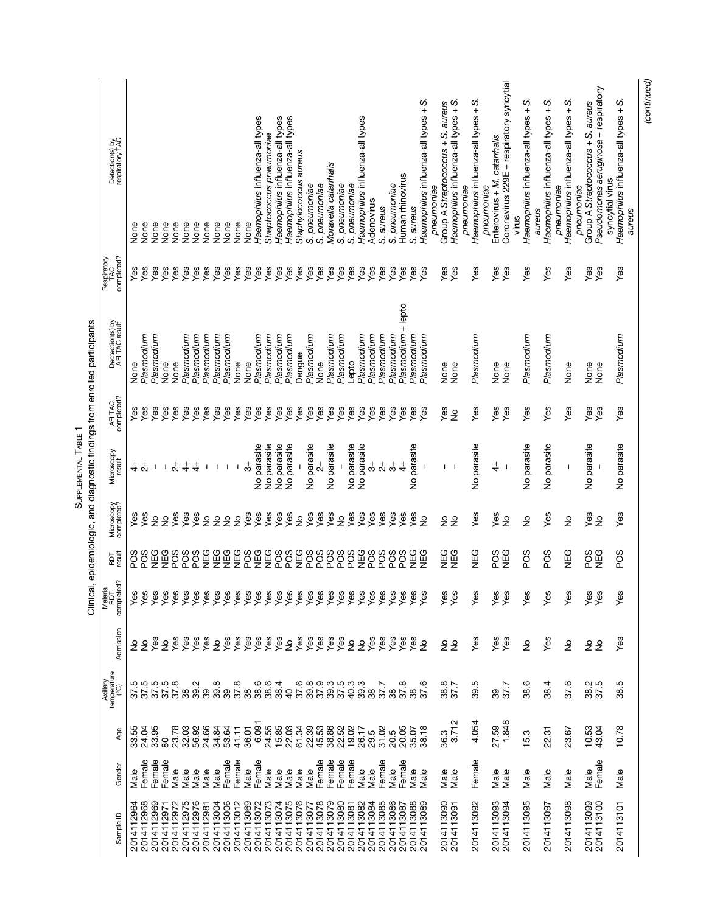|                | Axillary<br>temperature<br>(°C)           |                                             |                              |                               |                          |                            |                      | Clinical, epidemiologic, and diagnostic findings from enrolled participants | Respiratory       |                                                                           |
|----------------|-------------------------------------------|---------------------------------------------|------------------------------|-------------------------------|--------------------------|----------------------------|----------------------|-----------------------------------------------------------------------------|-------------------|---------------------------------------------------------------------------|
|                |                                           | Admission                                   | Malaria<br>RDT<br>completed? | RDT<br>result                 | Microscopy<br>completed? | Microscopy<br>result       | AFITAC<br>completed? | Dectection(s) by<br>AFI TAC result                                          | IAU<br>completed? | Detection(s) by<br>respiratory TAC                                        |
| 33.55          |                                           |                                             | Yes                          | SOG                           | yes                      | $rac{4}{7}$                | Yes                  | None                                                                        | Yes               | None                                                                      |
| 24.04          |                                           |                                             | Yes                          | SOG                           | Yes                      |                            | Yes                  | Plasmodium                                                                  | Yes               | None                                                                      |
| 33.95          | 822228<br>22222                           | yes                                         | Yes                          | NEG<br><b>CONCO</b>           | $\frac{1}{2}$            | 1                          | Yes                  | Plasmodium                                                                  | Yes               | None                                                                      |
| 23.78<br>80    |                                           | yes<br>$\frac{1}{2}$                        | Yes<br>Yes                   |                               | Yes<br>$\frac{1}{2}$     | $\vec{c}$<br>$\mathbf{I}$  | yes<br>Yes           | None<br>None                                                                | Yes<br>Yes        | None<br>None                                                              |
| 32.03          | 38                                        | yes                                         | Yes                          | ggg<br>22                     | Yes                      | $\ddot{+}$                 | Yes                  | Plasmodium                                                                  | Yes               | None                                                                      |
| 56.92          | 39.2                                      | Yes                                         | Yes                          |                               | Yes                      | 4                          | Yes                  | Plasmodium                                                                  | Yes               | None                                                                      |
| 24.66          | 39                                        | yes                                         | Yes                          |                               | $\frac{1}{2}$            | 1                          | Yes                  | Plasmodium                                                                  | Yes               | None                                                                      |
| 34.84          | 39.8<br>39                                | $\frac{1}{2}$                               | yes                          |                               | $\frac{1}{2}$            | -1                         | Yes                  | Plasmodium                                                                  | Yes               | None                                                                      |
| 53.64          |                                           | Yes                                         | Yes                          |                               | $\frac{1}{2}$            | $\mathbf{I}$               | Yes                  | Plasmodium                                                                  | Yes               | None                                                                      |
| 41.11          | 37.8<br>38                                | yes<br>Yes                                  | Yes                          | 888888<br>88888               | $\frac{1}{2}$            | -1                         | Yes                  | None                                                                        | Yes               | None                                                                      |
| 36.01          |                                           |                                             | Yes                          |                               | Yes                      | ౘ                          | Yes                  | None                                                                        | Yes               | None                                                                      |
| 6.091          | 38.6                                      | yes                                         | Yes                          | FF55555                       | Yes                      | parasite<br>$\overline{2}$ | Yes                  | Plasmodium                                                                  | Yes               | Haemophilus influenza-all types                                           |
| 24.55<br>15.85 | 38.6                                      | yes<br>Yes                                  | Yes                          |                               | yes<br>Yes               | No parasite                | Yes                  | Plasmodium                                                                  | Yes               | Streptococcus pneumoniae                                                  |
|                | 38.4                                      |                                             | Yes                          |                               |                          | No parasite                | Yes                  | Plasmodium                                                                  | Yes               | Haemophilus influenza-all types                                           |
| 22.03          |                                           | $\stackrel{\mathtt{o}}{z}$                  | Yes                          |                               | Yes                      | No parasite                | Yes                  | Plasmodium                                                                  | Yes               | Haemophilus influenza-all types                                           |
| 61.34<br>22.39 | 37.6<br>39.8                              | yes<br>Yes                                  | Yes                          |                               | e‰<br>S                  |                            | Yes                  | Dengue                                                                      | Yes               | Staphylococcus aureus                                                     |
|                |                                           |                                             | Yes                          |                               |                          | No parasite                | Yes                  | Plasmodium                                                                  | Yes               | S. pneumoniae                                                             |
| 45.53<br>38.86 | 37.9<br>39.3                              | yes<br>Yes                                  | Yes                          |                               | Yes                      | $\vec{\mathcal{E}}$        | Yes                  | None                                                                        | Yes               | S. pneumoniae                                                             |
|                |                                           |                                             | Yes                          | 88888                         | Yes                      | No parasite                | Yes                  | Plasmodium                                                                  | Yes               | Moraxella catarrhalis                                                     |
| 22.52          | 5<br>5<br>5<br>5<br>5<br>5<br>5<br>5<br>5 | yes                                         | Yes                          |                               | $\frac{1}{2}$            |                            | Yes                  | Plasmodium                                                                  | Yes               | S. pneumoniae                                                             |
| 19.02          |                                           | 22                                          | Yes                          |                               | Yes                      | No parasite                | Yes                  | Lepto                                                                       | Yes               | S. pneumoniae                                                             |
| 26.17          |                                           |                                             | Yes                          |                               | Yes                      | parasite<br>$\overline{2}$ | Yes                  | Plasmodium                                                                  | Yes               | Haemophilus influenza-all types                                           |
| 29.5           | 38                                        | Yes                                         | Yes                          | POS                           | Yes                      | ి                          | Yes                  | Plasmodium                                                                  | Yes               | Adenovirus                                                                |
| 31.02          | 37.7                                      | Yes                                         | Yes                          | 8888<br>8889                  | Yes                      | $\vec{z}$                  | Yes                  | Plasmodium                                                                  | Yes               | S. aureus                                                                 |
| 20.5           | 38                                        | Yes                                         | Yes                          |                               | Yes                      | ನೆ                         | Yes                  | Plasmodium                                                                  | Yes               | S. pneumoniae                                                             |
| 20.05          | 37.8                                      | $Y$ es                                      | Yes                          |                               | Yes                      | $\ddot{ }$                 | Yes                  | Plasmodium + lepto                                                          | Yes               | Human rhinovirus                                                          |
| 35.07          | 38                                        | తి                                          | Yes                          |                               | Yes                      | No parasite                | Yes                  | Plasmodium                                                                  | Yes               | S. aureus                                                                 |
| 38.18          | 37.6                                      | $\frac{1}{2}$                               | Yes                          | <b>DEG</b>                    | $\frac{1}{2}$            |                            | Yes                  | Plasmodium                                                                  | Yes               | vj<br>Haemophilus influenza-all types +                                   |
|                |                                           |                                             |                              |                               |                          |                            |                      |                                                                             |                   | pneumoniae                                                                |
| 36.3           | 38.7<br>37.7                              | $\frac{1}{2}$                               | Yes                          | NEG<br>NEG                    | $\frac{1}{2}$            | T.                         | Yes                  | None                                                                        | Yes               | Group A Streptococcus + S. aureus                                         |
| 3.712          |                                           | $\frac{1}{2}$                               | Yes                          |                               | $\frac{1}{2}$            |                            | $\frac{1}{2}$        | None                                                                        | Yes               | Haemophilus influenza-all types + S.<br>pneumoniae                        |
| 4.054          | 39.5                                      | Yes                                         | Yes                          | <b>NEG</b>                    | Yes                      | parasite<br>$\overline{2}$ | Yes                  | Plasmodium                                                                  | Yes               | ს<br>+<br>Haemophilus influenza-all types                                 |
|                |                                           |                                             |                              |                               |                          |                            |                      |                                                                             |                   | pneumoniae                                                                |
| 27.59          | 39                                        | Yes                                         | Yes                          | PO <sub>S</sub>               | Yes                      | $\ddot{ }$                 | Yes                  | None                                                                        | Yes               | Enterovirus + M. catarmalis                                               |
| 1.848          | 37.7                                      | Yes                                         | Yes                          | NEG                           | $\frac{1}{2}$            |                            | Yes                  | None                                                                        | Yes               | Coronavirus 229E + respiratory syncytial                                  |
|                |                                           |                                             |                              |                               |                          |                            |                      |                                                                             |                   | virus                                                                     |
| 15.3           | 38.6                                      | $\frac{1}{2}$                               | Yes                          | PO <sub>S</sub>               | $\frac{1}{2}$            | No parasite                | Yes                  | Plasmodium                                                                  | Yes               | U)<br>Haemophilus influenza-all types +                                   |
|                |                                           |                                             |                              |                               |                          |                            |                      |                                                                             |                   | aureus                                                                    |
| 22.31          | 38.4                                      | Yes                                         | Yes                          | PO <sub>S</sub>               | Yes                      | No parasite                | Yes                  | Plasmodium                                                                  | Yes               | Haemophilus influenza-all types + S.                                      |
|                |                                           |                                             |                              |                               |                          |                            |                      |                                                                             |                   | pneumoniae                                                                |
| 23.67          | 37.6                                      | $\frac{1}{2}$                               | Yes                          | NEG                           | $\frac{1}{2}$            | I                          | Yes                  | None                                                                        | Yes               | Haemophilus influenza-all types + S.                                      |
|                |                                           |                                             |                              |                               |                          |                            |                      |                                                                             |                   | pneumoniae                                                                |
| 10.53<br>43.04 | 38.5<br>37.5                              | $\stackrel{\mathtt{o}}{z}$<br>$\frac{1}{2}$ | Yes<br>Yes                   | <b>NEG</b><br>PO <sub>S</sub> | Yes<br>$\frac{1}{2}$     | No parasite                | Yes<br>Yes           | None<br>None                                                                | Yes<br>Yes        | Pseudomonas aeruginosa + respiratory<br>Group A Streptococcus + S. aureus |
|                |                                           |                                             |                              |                               |                          |                            |                      |                                                                             |                   | syncytial virus                                                           |
| 10.78          | 38.5                                      | Yes                                         | Yes                          | PO <sub>S</sub>               | Yes                      | No parasite                | Yes                  | Plasmodium                                                                  | Yes               | Haemophilus influenza-all types + S.                                      |
|                |                                           |                                             |                              |                               |                          |                            |                      |                                                                             |                   | aureus                                                                    |

SUPPLEMENTAL TABLE 1 SUPPLEMENTAL TABLE 1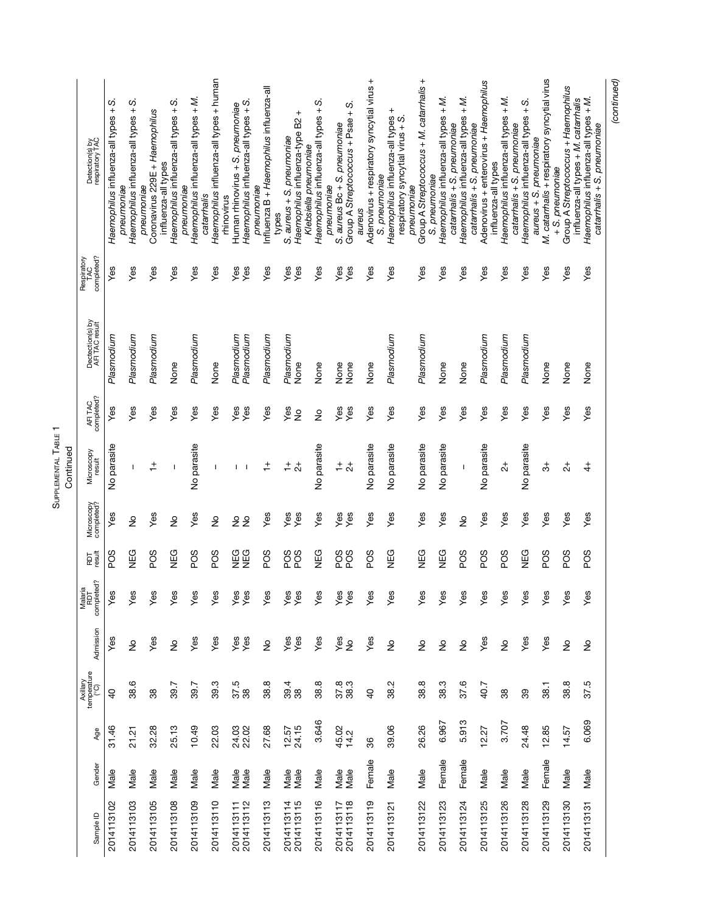SUPPLEMENTAL TABLE 1 SUPPLEMENTAL TABLE 1 Continued

| Sample ID                | Gender | Age                | Axillary<br>temperature<br>(°C) | Admission                   | Malaria<br>RDT<br>completed? | RDT<br>result        | Microscopy<br>completed? | Microscopy<br>result  | AFITAC<br>completed? | Dectection(s) by<br>AFI TAC result | TAC<br>completed?<br>Respiratory | Detection(s) by<br>respiratory TAC                                          |
|--------------------------|--------|--------------------|---------------------------------|-----------------------------|------------------------------|----------------------|--------------------------|-----------------------|----------------------|------------------------------------|----------------------------------|-----------------------------------------------------------------------------|
| 2014113102               | Male   | 31.46              | $\overline{a}$                  | Yes                         | Yes                          | PO <sub>S</sub>      | Yes                      | No parasite           | Yes                  | Plasmodium                         | Yes                              | U)<br>Haemophilus influenza-all types +                                     |
| 2014113103               | Male   | 21.21              | 38.6                            | $\frac{1}{2}$               | Yes                          | NEG                  | $\frac{1}{2}$            | T                     | Yes                  | Plasmodium                         | Yes                              | Haemophilus influenza-all types + S.<br>pneumoniae                          |
| 2014113105               | Male   | 32.28              | 38                              | Yes                         | Yes                          | SOG                  | Yes                      | $\ddot{+}$            | Yes                  | Plasmodium                         | Yes                              | Coronavirus 229E + Haemophilus<br>pneumoniae                                |
| 2014113108               | Male   | 25.13              | 39.7                            | $\frac{1}{2}$               | Yes                          | <b>NEG</b>           | $\frac{1}{2}$            | $\mathbf{I}$          | Yes                  | None                               | Yes                              | Haemophilus influenza-all types + S.<br>influenza-all types                 |
| 2014113109               | Male   | 10.49              | 39.7                            | Yes                         | Yes                          | PO <sub>S</sub>      | Yes                      | No parasite           | Yes                  | Plasmodium                         | Yes                              | Haemophilus influenza-all types + M.<br>pneumoniae                          |
| 2014113110               | Male   | 22.03              | 39.3                            | Yes                         | Yes                          | PO <sub>S</sub>      | $\frac{1}{2}$            | -1                    | Yes                  | None                               | Yes                              | Haemophilus influenza-all types + human<br>catamhalis                       |
| 2014113111<br>2014113112 | Male   | 24.03              | 37.5<br>38                      | Yes                         | Yes                          | <b>COUND</b><br>NUMB | $\frac{1}{2}$            | т                     | Yes                  | Plasmodium                         | Yes                              | Human rhinovirus + S. preumoniae<br>thinovirus                              |
|                          | Male   | 22.02              |                                 | Yes                         | Yes                          |                      | $\frac{1}{2}$            | $\mathbf{I}$          | Yes                  | Plasmodium                         | Yes                              | Haemophilus influenza-all types + S.<br>pneumoniae                          |
| 2014113113               | Male   | 27.68              | 38.8                            | $\stackrel{\circ}{\succeq}$ | Yes                          | PO <sub>S</sub>      | Yes                      | $\stackrel{+}{\cdot}$ | Yes                  | Plasmodium                         | Yes                              | Influenza B + Haemophilus influenza-all<br>types                            |
| 2014113114<br>2014113115 | Male   | $12.57$<br>$24.15$ | 39.4<br>38                      | yes<br>Yes                  | Yes                          | PO <sub>S</sub>      | Yes                      | $\div$                | Yes                  | Plasmodium                         | Yes                              | S. aureus + S. pneumoniae                                                   |
|                          | Male   |                    |                                 |                             | Yes                          | PO <sub>S</sub>      | Yes                      | $\overline{c}$        | $\frac{1}{2}$        | None                               | Yes                              | $\,^+$<br>Haemophilus influenza-type B2<br>Klebsiella pneumoniae            |
| 2014113116               | Male   | 3.646              | 38.8                            | Yes                         | Yes                          | NEG                  | Yes                      | No parasite           | $\frac{1}{2}$        | None                               | Yes                              | Haemophilus influenza-all types + S.<br>pneumoniae                          |
| 2014113117<br>2014113118 | Male   | 45.02<br>14.2      | 37.8<br>38.3                    | Yes                         | Yes                          | PO <sub>S</sub>      | Yes                      | $\frac{+}{ }$         | Yes                  | None                               | Yes                              | S. aureus Bc + S. pneumoniae                                                |
|                          | Male   |                    |                                 | $\stackrel{\circ}{\succeq}$ | Yes                          | PO <sub>S</sub>      | Yes                      | $\overline{c}$        | Yes                  | None                               | Yes                              | Group A Streptococcus + Psae + S.<br>aureus                                 |
| 2014113119               | Female | 86                 | $\overline{a}$                  | Yes                         | Yes                          | PO <sub>S</sub>      | Yes                      | No parasite           | Yes                  | None                               | Yes                              | Adenovirus + respiratory syncytial virus +<br>S. pneumoniae                 |
| 2014113121               | Male   | 39.06              | 38.2                            | $\frac{1}{2}$               | Yes                          | <b>NEG</b>           | Yes                      | No parasite           | Yes                  | Plasmodium                         | Yes                              | Haemophilus influenza-all types +                                           |
|                          |        |                    |                                 |                             |                              |                      |                          |                       |                      |                                    |                                  | respiratory syncytial virus + S.<br>pneumoniae                              |
| 2014113122               | Male   | 26.26              | 38.8                            | $\stackrel{\mathtt{o}}{z}$  | Yes                          | NEG                  | Yes                      | No parasite           | Yes                  | Plasmodium                         | Yes                              | Group A Streptococcus + M. catarrhalis +<br>S. pneumoniae                   |
| 2014113123               | Female | 6.967              | 38.3                            | ş                           | Yes                          | NEG                  | Yes                      | No parasite           | Yes                  | None                               | Yes                              | Haemophilus influenza-all types + M.                                        |
| 2014113124               | Female | 5.913              | 37.6                            | $\frac{1}{2}$               | Yes                          | PO <sub>S</sub>      | $\frac{1}{2}$            | $\overline{1}$        | Yes                  | None                               | Yes                              | Haemophilus influenza-all types + M.<br>catarmalis + S. pneumoniae          |
|                          |        |                    |                                 |                             |                              |                      |                          |                       |                      |                                    |                                  | catarmalis + S. preumoniae                                                  |
| 2014113125               | Male   | 12.27              | 40.7                            | Yes                         | Yes                          | SOG                  | Yes                      | No parasite           | Yes                  | Plasmodium                         | Yes                              | Adenovirus + enterovirus + Haemophilus<br>influenza-all types               |
| 2014113126               | Male   | 3.707              | 38                              | $\frac{1}{2}$               | Yes                          | SOG                  | Yes                      | 4                     | Yes                  | Plasmodium                         | Yes                              | Haemophilus influenza-all types + M.                                        |
| 2014113128               | Male   | 24.48              | 39                              | Yes                         | Yes                          | NEG                  | Yes                      | No parasite           | Yes                  | Plasmodium                         | Yes                              | Haemophilus influenza-all types + S.<br>catarrhalis + S. pneumoniae         |
| 2014113129               | Female | 12.85              | 38.1                            | Yes                         | Yes                          | PO <sub>S</sub>      | Yes                      | ನೆ                    | Yes                  | None                               | Yes                              | M. catarrhalis + respiratory syncytial virus<br>aureus + S. pneumoniae      |
|                          |        |                    |                                 |                             |                              |                      |                          |                       |                      |                                    |                                  | $+ S.$ pneumoniae                                                           |
| 2014113130               | Male   | 14.57              | 38.8                            | $\frac{1}{2}$               | $Y$ es                       | PO <sub>S</sub>      | Yes                      | $\vec{c}$             | Yes                  | None                               | Yes                              | Group A Streptococcus + Haemophilus<br>influenza-all types + M. catarrhalis |
| 2014113131               | Male   | 6.069              | 37.5                            | $\frac{1}{2}$               | Yes                          | SOG                  | Yes                      | $\ddot{4}$            | Yes                  | None                               | Yes                              | Haemophilus influenza-all types + M.<br>catarrhalis + S. pneumoniae         |
|                          |        |                    |                                 |                             |                              |                      |                          |                       |                      |                                    |                                  | (continued)                                                                 |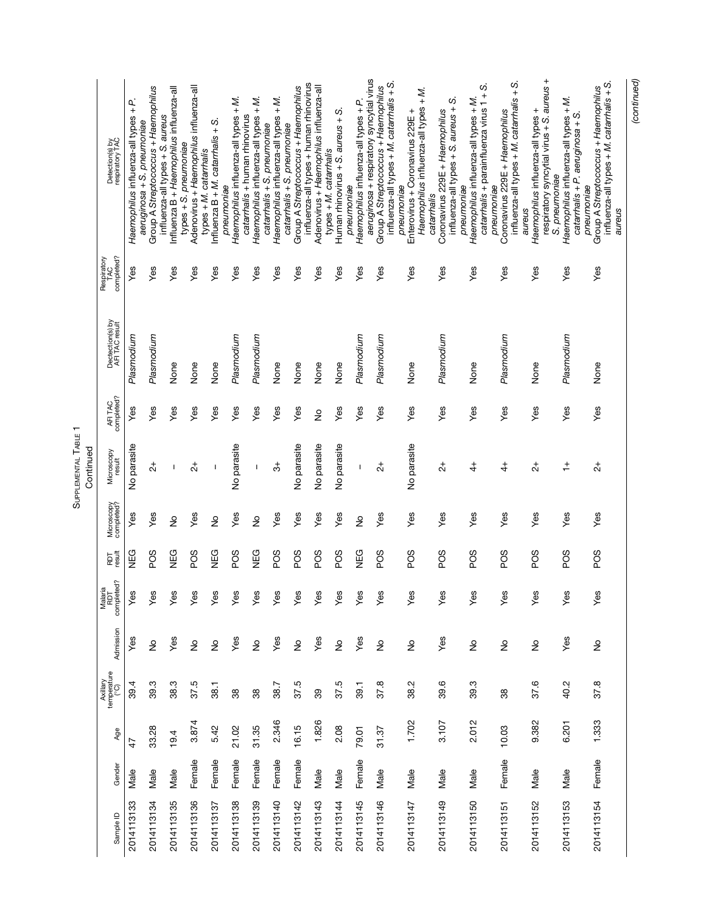SUPPLEMENTAL TABLE 1<br>Continued SUPPLEMENTAL TABLE 1 Continued

|            |        |               |                                 |                            |                                        |                 |                          | namin'ny             |                      |                                    |                                |                                                                                                           |
|------------|--------|---------------|---------------------------------|----------------------------|----------------------------------------|-----------------|--------------------------|----------------------|----------------------|------------------------------------|--------------------------------|-----------------------------------------------------------------------------------------------------------|
| Sample ID  | Gender | Age           | Axillary<br>temperature<br>(°C) | Admission                  | ted?<br>ig<br>Malari<br>RDT<br>complet | RDT<br>result   | Microscopy<br>completed? | Microscopy<br>result | AFITAC<br>completed? | Dectection(s) by<br>AFI TAC result | completed?<br>Respiratory<br>ó | Detection(s) by<br>respiratory TAC                                                                        |
| 2014113133 | Male   | $\frac{4}{7}$ | 39.4                            | Yes                        | Yes                                    | NEG             | Yes                      | No parasite          | Yes                  | Plasmodium                         | Yes                            | Haemophilus influenza-all types + P.<br>aeruginosa + S. pneumoniae                                        |
| 2014113134 | Male   | 33.28         | 39.3                            | $\stackrel{\mathtt{o}}{z}$ | Yes                                    | SOG             | Yes                      | $\vec{c}$            | Yes                  | Plasmodium                         | Yes                            | Group A Streptococcus + Haemophilus                                                                       |
| 2014113135 | Male   | 19.4          | 38.3                            | Yes                        | Yes                                    | NEG             | $\frac{1}{2}$            | $\overline{1}$       | Yes                  | None                               | Yes                            | Influenza B + Haemophilus influenza-all<br>influenza-all types + S. aureus                                |
| 2014113136 | Female | 3.874         | 37.5                            | $\frac{1}{2}$              | Yes                                    | SOG             | Yes                      | $\vec{z}$            | Yes                  | None                               | Yes                            | Adenovirus + Haemophilus influenza-all<br>$types + S.$ preumoniae                                         |
| 2014113137 | Female | 5.42          | 38.1                            | ş                          | Yes                                    | NEG             | $\frac{1}{2}$            | ı                    | Yes                  | None                               | Yes                            | Influenza $B + M$ . catamhalis + S.<br>types + M. catarrhalis                                             |
| 2014113138 | Female | 21.02         | 38                              | Yes                        | Yes                                    | PO <sub>S</sub> | Yes                      | No parasite          | Yes                  | Plasmodium                         | Yes                            | Haemophilus influenza-all types + M.<br>pneumoniae                                                        |
| 2014113139 | Female | 31.35         | 38                              | $\frac{1}{2}$              | Yes                                    | <b>NEG</b>      | $\frac{1}{2}$            | T                    | Yes                  | Plasmodium                         | Yes                            | Haemophilus influenza-all types + M.<br>catarrhalis + human rhinovirus<br>catarrhalis + S. pneumoniae     |
| 2014113140 | Female | 2.346         | 38.7                            | Yes                        | Yes                                    | PO <sub>S</sub> | Yes                      | ౘ                    | Yes                  | None                               | Yes                            | Haemophilus influenza-all types + M.<br>catarrhalis + S. preumoniae                                       |
| 2014113142 | Female | 16.15         | 37.5                            | $\frac{1}{2}$              | Yes                                    | PO <sub>S</sub> | Yes                      | No parasite          | Yes                  | None                               | Yes                            | Group A Streptococcus + Haemophilus                                                                       |
| 2014113143 | Male   | 1.826         | 39                              | Yes                        | Yes                                    | SOG             | Yes                      | No parasite          | $\frac{1}{2}$        | None                               | Yes                            | influenza-all types + human rhinovirus<br>Adenovirus + Haemophilus influenza-all<br>types + M. catarmalis |
| 2014113144 | Male   | 2.08          | 37.5                            | $\frac{1}{2}$              | Yes                                    | PO <sub>S</sub> | Yes                      | No parasite          | Yes                  | None                               | Yes                            | Human rhinovirus + S. aureus + S.                                                                         |
| 2014113145 | Female | 79.01         | 39.1                            | Yes                        | Yes                                    | NEG             | $\frac{1}{2}$            | T                    | Yes                  | Plasmodium                         | Yes                            | aeruginosa + respiratory syncytial virus<br>Haemophilus influenza-all types + P.<br>pneumoniae            |
| 2014113146 | Male   | 31.37         | 37.8                            | $\frac{1}{2}$              | Yes                                    | POS             | Yes                      | $\overline{c}$       | Yes                  | Plasmodium                         | Yes                            | influenza-all types + M. catarrhalis + S.<br>Group A Streptococcus + Haemophilus                          |
| 2014113147 | Male   | 1.702         | 38.2                            | $\frac{1}{2}$              | Yes                                    | PO <sub>S</sub> | Yes                      | No parasite          | Yes                  | None                               | Yes                            | Haemophilus influenza-all types + M.<br>Enterovirus + Coronavirus 229E +<br>pneumoniae<br>catarrhalis     |
| 2014113149 | Male   | 3.107         | 39.6                            | Yes                        | Yes                                    | PO <sub>S</sub> | Yes                      | $\vec{c}$            | Yes                  | Plasmodium                         | Yes                            | influenza-all types + S. aureus + S.<br>Coronavirus 229E + Haemophilus                                    |
| 2014113150 | Male   | 2.012         | 39.3                            | $\stackrel{\mathtt{o}}{z}$ | Yes                                    | PO <sub>S</sub> | Yes                      | $\ddot{ }$           | Yes                  | None                               | Yes                            | vj<br>catarrhalis + parainfluenza virus 1 +<br>Haemophilus influenza-all types + M.<br>pneumoniae         |
| 2014113151 | Female | 10.03         | 38                              | $\frac{1}{2}$              | Yes                                    | POS             | Yes                      | $\ddot{4}$           | Yes                  | Plasmodium                         | Yes                            | influenza-all types + M. catarrhalis + S.<br>Coronavirus 229E + Haemophilus<br>pneumoniae                 |
| 2014113152 | Male   | 9.382         | 37.6                            | $\stackrel{\mathtt{o}}{z}$ | Yes                                    | POS             | Yes                      | $\frac{4}{3}$        | Yes                  | None                               | Yes                            | respiratory syncytial virus + S. aureus +<br>Haemophilus influenza-all types +<br>S. pneumoniae<br>aureus |
| 2014113153 | Male   | 6.201         | 40.2                            | Yes                        | yes                                    | PO <sub>S</sub> | Yes                      | $\div$               | Yes                  | Plasmodium                         | Yes                            | Haemophilus influenza-all types + M.<br>catarrhalis + P. aeruginosa + S.                                  |
| 2014113154 | Female | 1.333         | 37.8                            | $\frac{1}{2}$              | yes                                    | PO <sub>S</sub> | Yes                      | $\overline{c}$       | Yes                  | None                               | Yes                            | influenza-all types + M. catarrhalis + S.<br>Group A Streptococcus + Haemophilus<br>pneumoniae<br>aureus  |
|            |        |               |                                 |                            |                                        |                 |                          |                      |                      |                                    |                                |                                                                                                           |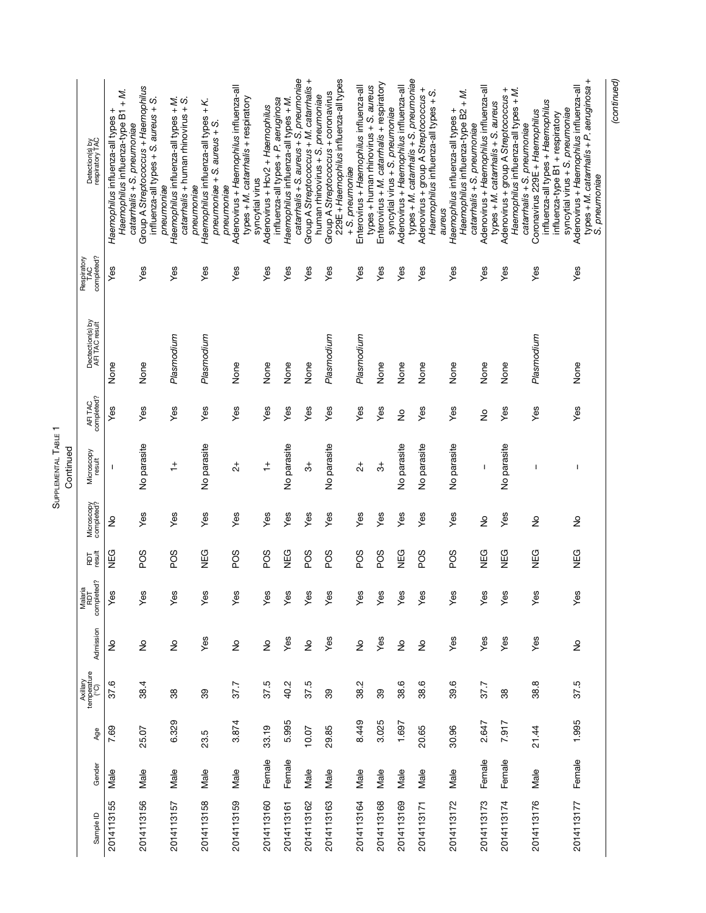| Sample ID  | Gender | Age   | Axillary<br>temperature<br>(°C) | Admission     | Malaria<br>RDT<br>completed? | RDT<br>result   | Microscopy<br>completed? | Microscopy<br>result | AFITAC<br>completed? | Dectection(s) by<br>AFI TAC result | completed?<br>Respiratory<br>TAC | Detection(s) by<br>respiratory TAC                                                                                                     |
|------------|--------|-------|---------------------------------|---------------|------------------------------|-----------------|--------------------------|----------------------|----------------------|------------------------------------|----------------------------------|----------------------------------------------------------------------------------------------------------------------------------------|
| 2014113155 | Male   | 7.69  | 37.6                            | ş             | Yes                          | NEG             | $\frac{1}{2}$            | т                    | Yes                  | None                               | Yes                              | Haemophilus influenza-type B1 + M.<br>Haemophilus influenza-all types +                                                                |
| 2014113156 | Male   | 25.07 | 38.4                            | $\frac{1}{2}$ | Yes                          | SOG             | Yes                      | No parasite          | Yes                  | None                               | Yes                              | Group A Streptococcus + Haemophilus<br>influenza-all types + S. aureus + S.<br>catarmalis + S. pneumoniae                              |
| 2014113157 | Male   | 6.329 | 38                              | $\frac{1}{2}$ | Yes                          | PO <sub>S</sub> | Yes                      | $\ddot{+}$           | Yes                  | Plasmodium                         | Yes                              | Haemophilus influenza-all types + M.<br>catarmalis + human rhinovirus + S.<br>pneumoniae                                               |
| 2014113158 | Male   | 23.5  | 39                              | Yes           | Yes                          | <b>NEG</b>      | Yes                      | No parasite          | Yes                  | Plasmodium                         | Yes                              | Haemophilus influenza-all types + K.<br>pneumoniae $+$ S. aureus $+$ S<br>pneumoniae                                                   |
| 2014113159 | Male   | 3.874 | 37.7                            | $\frac{1}{2}$ | Yes                          | PO <sub>S</sub> | Yes                      | $\overline{c}$       | Yes                  | None                               | Yes                              | Adenovirus + Haemophilus influenza-all<br>types + M. catarmalis + respiratory<br>syncytial virus<br>pneumoniae                         |
| 2014113160 | Female | 33.19 | 37.5                            | $\frac{1}{2}$ | Yes                          | SOG             | Yes                      | $\div$               | Yes                  | None                               | Yes                              | influenza-all types + P. aeruginosa<br>Adenovirus + Hcv2 + Haemophilus                                                                 |
| 2014113161 | Female | 5.995 | 40.2                            | Yes           | Yes                          | NEG             | Yes                      | No parasite          | Yes                  | None                               | Yes                              | catanhalis + S. aureus + S. pneumoniae<br>Haemophilus influenza-all types + M.                                                         |
| 2014113162 | Male   | 10.07 | 37.5                            | $\frac{1}{2}$ | Yes                          | PO <sub>S</sub> | Yes                      | ౘ                    | Yes                  | None                               | Yes                              | Group A Streptococcus + M. catarrhalis +<br>human rhinovirus + S. pneumoniae                                                           |
| 2014113163 | Male   | 29.85 | 89                              | Yes           | Yes                          | PO <sub>S</sub> | Yes                      | No parasite          | Yes                  | Plasmodium                         | Yes                              | 229E + Haemophilus influenza-all types<br>Group A Streptococcus + coronavirus<br>+ S. pneumoniae                                       |
| 2014113164 | Male   | 8.449 | 38.2                            | ş             | Yes                          | PO <sub>S</sub> | Yes                      | $\vec{c}$            | Yes                  | Plasmodium                         | Yes                              | Enterovirus + Haemophilus influenza-all                                                                                                |
| 2014113168 | Male   | 3.025 | 39                              | Yes           | Yes                          | PO <sub>S</sub> | Yes                      | ౘ                    | Yes                  | None                               | Yes                              | Enterovirus + M. catarrhalis + respiratory<br>types + human rhinovirus + S. aureus<br>syncytial virus + S. pneumoniae                  |
| 2014113169 | Male   | 1.697 | 38.6                            | $\frac{1}{2}$ | Yes                          | NEG             | Yes                      | No parasite          | ş                    | None                               | Yes                              | types + M. catarrhalis + S. pneumoniae<br>Adenovirus + Haemophilus influenza-all                                                       |
| 2014113171 | Male   | 20.65 | 38.6                            | $\frac{1}{2}$ | Yes                          | PO <sub>S</sub> | Yes                      | No parasite          | Yes                  | None                               | Yes                              | Adenovirus + group A Streptococcus +<br>Haemophilus influenza-all types + S.                                                           |
| 2014113172 | Male   | 30.96 | 39.6                            | Yes           | Yes                          | PO <sub>S</sub> | Yes                      | No parasite          | Yes                  | None                               | Yes                              | Haemophilus influenza-type B2 + M.<br>Haemophilus influenza-all types +<br>catarmalis + S. pneumoniae<br>aureus                        |
| 2014113173 | Female | 2.647 | 37.7                            | Yes           | Yes                          | <b>NEG</b>      | $\frac{1}{2}$            | $\overline{1}$       | ş                    | None                               | Yes                              | Adenovirus + Haemophilus influenza-all<br>types + M. catarrhalis + S. aureus                                                           |
| 2014113174 | Female | 7.917 | 38                              | Yes           | Yes                          | <b>NEG</b>      | Yes                      | No parasite          | Yes                  | None                               | Yes                              | Adenovirus + group A Streptococcus +<br>Haemophilus influenza-all types + M.<br>catarmalis + S. pneumoniae                             |
| 2014113176 | Male   | 21.44 | 38.8                            | Yes           | Yes                          | <b>NEG</b>      | $\frac{1}{2}$            | ı                    | Yes                  | Plasmodium                         | Yes                              | influenza-all types + Haemophilus<br>Coronavirus 229E + Haemophilus<br>influenza-type B1 + respiratory                                 |
| 2014113177 | Female | 1.995 | 37.5                            | $\frac{1}{2}$ | Yes                          | <b>NEG</b>      | $\frac{1}{2}$            | T                    | Yes                  | None                               | Yes                              | types + M. catarrhalis + P. aeruginosa +<br>Adenovirus + Haemophilus influenza-all<br>syncytial virus + S. pneumoniae<br>S. pneumoniae |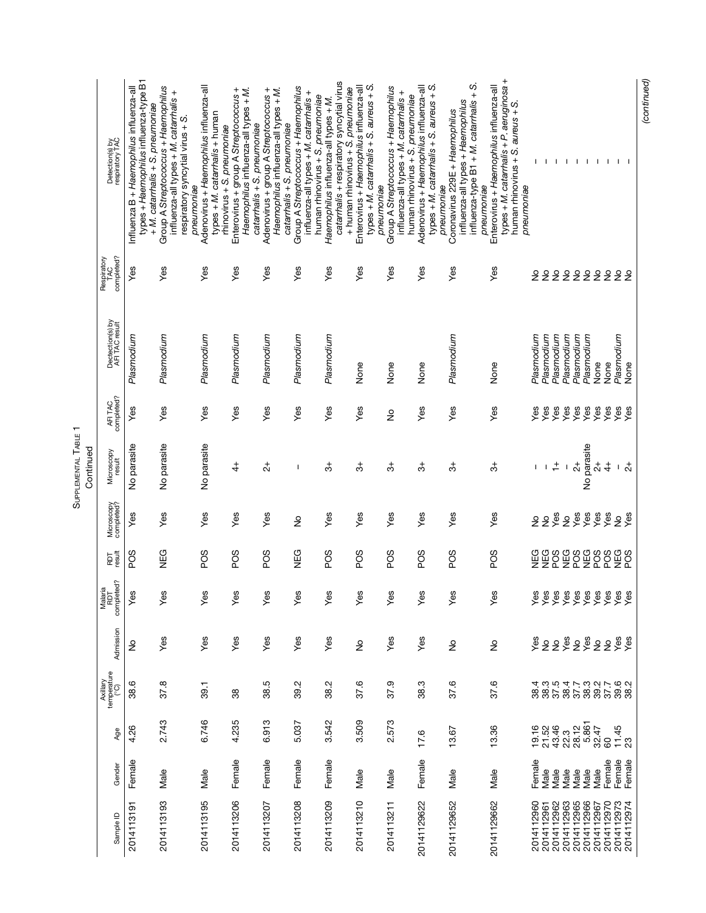SUPPLEMENTAL TABLE 1<br>Continued SUPPLEMENTAL TABLE 1

|           | Detection(s) by<br>respiratory TAC                                     | types + Haemophilus influenza-type B1<br>Influenza B + Haemophilus influenza-all | Group A Streptococcus + Haemophilus<br>influenza-all types + M. catarrhalis +<br>+ M. catarrhalis + S. pneumoniae<br>respiratory syncytial virus + S.<br>pneumoniae | Adenovirus + Haemophilus influenza-all<br>types + M. catarmalis + human<br>rhinovirus + S. pneumoniae | Enterovirus + group A Streptococcus +<br>Haemophilus influenza-all types + M.<br>catarmalis + S. pneumoniae | Adenovirus + group A Streptococcus +<br>Haemophilus influenza-all types + M.<br>catarmalis + S. pneumoniae | Group A Streptococcus + Haemophilus<br>influenza-all types + M. catarrhalis +<br>human rhinovirus + S. pneumoniae | catarmalis + respiratory syncytial virus<br>+ human rhinovirus + S. preumoniae<br>Haemophilus influenza-all types + M | types + M. catarrhalis + S. aureus + S.<br>Enterovirus + Haemophilus influenza-all<br>pneumoniae | Group A Streptococcus + Haemophilus<br>influenza-all types + M. catarrhalis +<br>human rhinovirus + S. pneumoniae | types + M. catarrhalis + S. aureus + S.<br>Adenovirus + Haemophilus influenza-all<br>pneumoniae | influenza-type B1 + M. catarrhalis + S.<br>influenza-all types + Haemophilus<br>Coronavirus 229E + Haemophilus<br>pneumoniae | types + M. catarrhalis + P. aeruginosa +<br>Enterovirus + Haemophilus influenza-all<br>human rhinovirus + S. aureus + S.<br>pneumoniae |                   |                   | $\mathbf{I}$               | $\mathbf{1}$ |                   | $\mathbf{I}$<br>- 1                   | - 1             |                             |
|-----------|------------------------------------------------------------------------|----------------------------------------------------------------------------------|---------------------------------------------------------------------------------------------------------------------------------------------------------------------|-------------------------------------------------------------------------------------------------------|-------------------------------------------------------------------------------------------------------------|------------------------------------------------------------------------------------------------------------|-------------------------------------------------------------------------------------------------------------------|-----------------------------------------------------------------------------------------------------------------------|--------------------------------------------------------------------------------------------------|-------------------------------------------------------------------------------------------------------------------|-------------------------------------------------------------------------------------------------|------------------------------------------------------------------------------------------------------------------------------|----------------------------------------------------------------------------------------------------------------------------------------|-------------------|-------------------|----------------------------|--------------|-------------------|---------------------------------------|-----------------|-----------------------------|
|           | Respiratory<br>TAC<br>completed?<br>Dectection(s) by<br>AFI TAC result | yes                                                                              | Yes                                                                                                                                                                 | Yes                                                                                                   | Yes                                                                                                         | Yes                                                                                                        | Yes                                                                                                               | Yes                                                                                                                   | Yes                                                                                              | Yes                                                                                                               | Yes                                                                                             | Yes                                                                                                                          | Yes                                                                                                                                    | $\frac{1}{2}$     | $\frac{1}{2}$     | 22                         | Plasmodium   | $\frac{\circ}{2}$ | 222<br>Plasmodium                     |                 | $\frac{1}{2}$<br>Plasmodium |
|           | AFITAC<br>completed?                                                   | Plasmodium<br>Yes                                                                | Plasmodium<br>Yes                                                                                                                                                   | Plasmodium<br>Yes                                                                                     | Plasmodium<br>Yes                                                                                           | Plasmodium<br>Yes                                                                                          | Plasmodium<br>Yes                                                                                                 | Plasmodium<br>Yes                                                                                                     | None<br>Yes                                                                                      | None<br>$\frac{1}{2}$                                                                                             | None<br>Yes                                                                                     | Plasmodium<br>Yes                                                                                                            | None<br>Yes                                                                                                                            | Plasmodium<br>Yes | Plasmodium<br>Yes | Plasmodium<br>Yes          | Yes          | Plasmodium<br>Yes | None<br>Yes<br>Yes                    | None<br>Yes     | Yes                         |
| Continued | Microscopy<br>result                                                   | No parasite                                                                      | No parasite                                                                                                                                                         | No parasite                                                                                           | $\ddot{4}$                                                                                                  | $\vec{c}$                                                                                                  | I                                                                                                                 | ి                                                                                                                     | ి                                                                                                | ి                                                                                                                 | ౘ                                                                                               | ౘ                                                                                                                            | ౘ                                                                                                                                      | I                 |                   | $\stackrel{+}{\mathbf{-}}$ | $\mathbf I$  | $\vec{c}$         | No parasite<br>$\vec{c}$              | $rac{4}{4}$     |                             |
|           | Microscopy<br>completed?                                               | Yes                                                                              | Yes                                                                                                                                                                 | Yes                                                                                                   | Yes                                                                                                         | Yes                                                                                                        | $\frac{1}{2}$                                                                                                     | Yes                                                                                                                   | Yes                                                                                              | Yes                                                                                                               | Yes                                                                                             | Yes                                                                                                                          | Yes                                                                                                                                    |                   | 22                | $X \times Y$               |              |                   |                                       | $rac{68}{x}$    | 2 <sup>6</sup>              |
|           | RDT<br>result                                                          | POS                                                                              | <b>NEG</b>                                                                                                                                                          | PO <sub>S</sub>                                                                                       | PO <sub>S</sub>                                                                                             | PO <sub>S</sub>                                                                                            | <b>NEG</b>                                                                                                        | PO <sub>S</sub>                                                                                                       | SOG                                                                                              | PO <sub>S</sub>                                                                                                   | SOG                                                                                             | POS                                                                                                                          | PO <sub>S</sub>                                                                                                                        | NEG               | NEG               | POS<br>NEG                 |              | PO <sub>S</sub>   | NEG<br>PO <sub>S</sub>                | PO <sub>S</sub> | NEG<br>POS                  |
|           | Malaria<br>RDT<br>completed?                                           | Yes                                                                              | S<br>قح                                                                                                                                                             | Yes                                                                                                   | Yes                                                                                                         | Yes                                                                                                        | Yes                                                                                                               | Yes                                                                                                                   | Yes                                                                                              | Yes                                                                                                               | Yes                                                                                             | Yes                                                                                                                          | Yes                                                                                                                                    |                   |                   |                            |              |                   | 888888888888<br>9999999999<br>XXXXXXX |                 |                             |
|           | Admission                                                              | ş                                                                                | Yes                                                                                                                                                                 | Yes                                                                                                   | Yes                                                                                                         | Yes                                                                                                        | Yes                                                                                                               | Yes                                                                                                                   | $\frac{1}{2}$                                                                                    | Yes                                                                                                               | Yes                                                                                             | $\frac{1}{2}$                                                                                                                | $\frac{1}{2}$                                                                                                                          |                   |                   | 288                        |              |                   | 2222                                  |                 |                             |
|           | Axillary<br>temperature<br>(°C)                                        | 38.6                                                                             | 37.8                                                                                                                                                                | 39.1                                                                                                  | 38                                                                                                          | 38.5                                                                                                       | 39.2                                                                                                              | 38.2                                                                                                                  | 37.6                                                                                             | 37.9                                                                                                              | 38.3                                                                                            | 37.6                                                                                                                         | 37.6                                                                                                                                   |                   | 38.3<br>38.3      | 37.5                       | 38.4         | 37.7              | 38.3<br>39.2                          | 37.7            | 39.2<br>38.2                |
|           | Age                                                                    | 4.26                                                                             | 2.743                                                                                                                                                               | 6.746                                                                                                 | 4.235                                                                                                       | 6.913                                                                                                      | 5.037                                                                                                             | 3.542                                                                                                                 | 3.509                                                                                            | 2.573                                                                                                             | 17.6                                                                                            | 13.67                                                                                                                        | 13.36                                                                                                                                  | 19.16             | 21.52             | 43.46                      | 22.3         | 28.12             | 5.861<br>32.47                        | 8               | 11.45                       |
|           | Gender                                                                 | Female                                                                           | Male                                                                                                                                                                | Male                                                                                                  | Female                                                                                                      | Female                                                                                                     | Female                                                                                                            | Female                                                                                                                | Male                                                                                             | Male                                                                                                              | Female                                                                                          | Male                                                                                                                         | Male                                                                                                                                   | Female            | Male              | Male                       | Male         | Male              | Male<br>Male                          | Female          | Female                      |
|           | Sample ID                                                              | 2014113191                                                                       | 2014113193                                                                                                                                                          | 2014113195                                                                                            | 2014113206                                                                                                  | 2014113207                                                                                                 | 2014113208                                                                                                        | 2014113209                                                                                                            | 2014113210                                                                                       | 2014113211                                                                                                        | 20141129622                                                                                     | 20141129652                                                                                                                  | 20141129662                                                                                                                            | 2014112960        | 2014112961        | 2014112962                 | 2014112963   | 2014112965        | 2014112966<br>2014112967              | 2014112970      | 2014112973                  |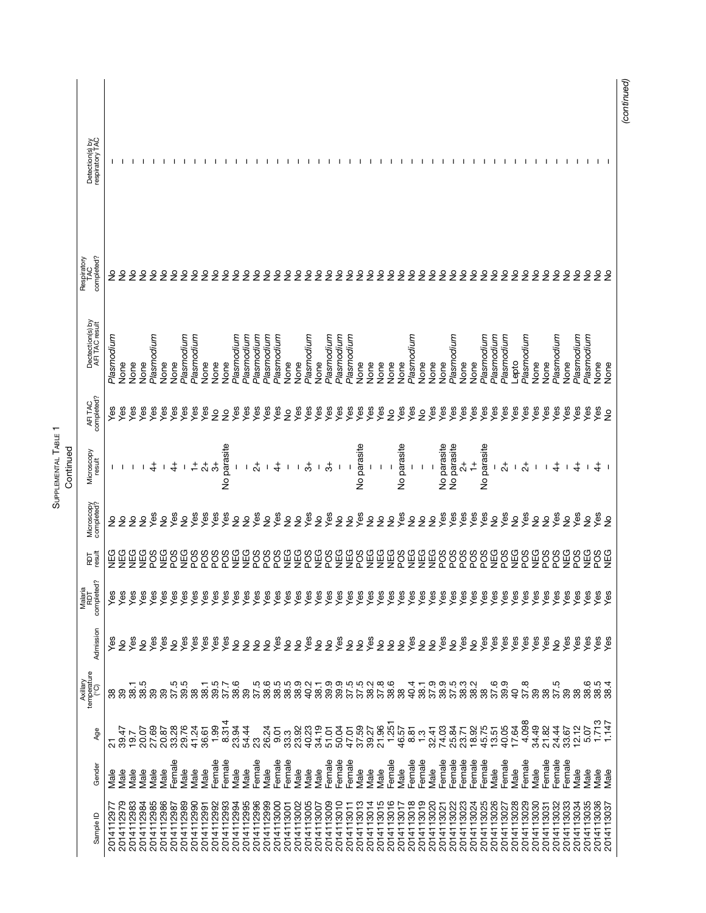| Detection(s) by<br>respiratory TAC |                |               |               |               |                          |                 |                         |                 |                 |                                                    |                        |                          |                                                |                 |                 |               |                          |                                |                 |               |                |                 |               |                |                   |                           |                                |               |                    |                         |                 |                 |                          |                          |                |                                                                                                                           |               |               |               |                |                 |               |                 |            |
|------------------------------------|----------------|---------------|---------------|---------------|--------------------------|-----------------|-------------------------|-----------------|-----------------|----------------------------------------------------|------------------------|--------------------------|------------------------------------------------|-----------------|-----------------|---------------|--------------------------|--------------------------------|-----------------|---------------|----------------|-----------------|---------------|----------------|-------------------|---------------------------|--------------------------------|---------------|--------------------|-------------------------|-----------------|-----------------|--------------------------|--------------------------|----------------|---------------------------------------------------------------------------------------------------------------------------|---------------|---------------|---------------|----------------|-----------------|---------------|-----------------|------------|
| Respiratory<br>TAC<br>completed?   | ş              |               |               |               | ş<br>ş                   | $\frac{1}{2}$   |                         | ş               |                 | ş                                                  | ş<br>$\frac{1}{2}$     | $\frac{1}{2}$            | $\frac{1}{2}$                                  | $\frac{1}{2}$   | $\frac{1}{2}$   | $\frac{1}{2}$ | $\frac{1}{2}$            | $\frac{1}{2}$<br>$\frac{1}{2}$ | $\frac{1}{2}$   | $\frac{1}{2}$ | $\frac{1}{2}$  | $\frac{1}{2}$   | $\frac{1}{2}$ | $\frac{1}{2}$  |                   | 222                       | $\frac{1}{2}$                  |               | 22                 | $\frac{1}{2}$           | $\frac{1}{2}$   |                 | 222                      | $\frac{1}{2}$            |                | 22                                                                                                                        | $\frac{1}{2}$ | $\frac{1}{2}$ | $\frac{1}{2}$ | $\frac{1}{2}$  | $\frac{1}{2}$   | $\frac{1}{2}$ | 22              |            |
| Dectection(s) by<br>AFI TAC result | Plasmodium     | None          | None          | None          | Plasmodium<br>None       | None            | Plasmodium              | Plasmodium      | None            | None                                               | Plasmodium<br>None     | mupourselc               | mupourselc                                     | Plasmodium      | Plasmodium      | None          | None                     | Plasmodium<br>None             | Plasmodium      | Plasmodium    | Plasmodium     | None            | None          | None           | None              | None                      | Plasmodium<br>None             | None          | None               | Plasmodium              | None            | None            | Plasmodium               | Plasmodium<br>Plasmodium | opto-          | Plasmodium                                                                                                                | None          | None          | Plasmodium    | None           | Plasmodium      | Plasmodium    | None<br>None    |            |
| AFITAC<br>completed?               | Yes            | Yes           | Yes           | Yes           | Yes<br>Yes               | Yes             | Yes                     | Yes             | Yes             | $\frac{1}{2}$                                      | Yes<br>$\frac{6}{2}$   | Yes                      | Yes                                            | Yes             | Yes             | $\frac{1}{2}$ | Yes                      | Yes<br>Yes                     | Yes             | Yes           | Yes            | Yes             | Yes           | Yes            | $\frac{9}{2}$     | Yes<br>Yes                | $\frac{1}{2}$                  | Yes           | Yes                | Yes                     | Yes             | Yes             | Yes<br>Yes               | Yes                      | Yes            | Yes                                                                                                                       | Yes           | Yes           | Yes           | Yes            | Yes             | Yes           | es<br>≥         |            |
| Microscopy<br>result               |                |               |               |               |                          |                 |                         |                 |                 |                                                    | No parasite            | $1\!-\!1$                | $\overline{c}$                                 | $\mathbf{I}$    | $rac{4}{4}$     |               | ၊ $\stackrel{+}{\circ}$  |                                | $\frac{1}{2}$   |               |                | No parasite     |               |                |                   | No parasite               |                                |               | <b>Vo</b> parasite | <b>Vo parasite</b>      | $\vec{\alpha}$  | $\ddot{+}$      | No parasite              | $\frac{1}{2}$            | $\mathbf{I}$   | $\overline{c}$                                                                                                            |               |               |               |                |                 |               |                 |            |
| Microscopy<br>completed?           | ş              | $\frac{1}{2}$ | $\frac{1}{2}$ | $\frac{1}{2}$ | yes<br>$\frac{1}{2}$     | Yes             | $\frac{1}{2}$           | Yes             | Yes             | Yes                                                | Yes                    | 22                       | Yes                                            | $\frac{1}{2}$   | Yes             | $\frac{1}{2}$ | $\frac{1}{2}$            | Yes<br>$\frac{1}{2}$           | Yes             | $\frac{1}{2}$ | $\frac{1}{2}$  | Yes             | $\frac{1}{2}$ | $\frac{1}{2}$  | $\frac{1}{2}$     | Yes                       | $\frac{1}{2}$<br>$\frac{1}{2}$ | $\frac{1}{2}$ | yes                | Yes                     | Yes             | Yes             | Yes<br>$\frac{1}{2}$     | yes                      |                | <b>Sex</b>                                                                                                                | $\frac{1}{2}$ | $\frac{1}{2}$ | yes           | $\frac{1}{2}$  | yes             | $\frac{1}{2}$ | es<br>>≌        |            |
| RDT<br>result                      | S<br>NEG       | NEG           | <b>SEG</b>    | NEG           | <b>Dany</b><br>SCd       | P <sub>OS</sub> | NEG                     | PO <sub>S</sub> | PO <sub>S</sub> | PO <sub>S</sub>                                    | NEG<br>PO <sub>S</sub> | <b>NEG</b>               | PO <sub>S</sub>                                | PO <sub>S</sub> | PO <sub>S</sub> | NEG           | NEG                      | POS<br><b>DEG</b>              | PO <sub>S</sub> | NEG           | <b>SAN</b>     | SO <sub>G</sub> | NEG           | <b>NEG</b>     | <b>DEG</b>        | PO <sub>S</sub>           | <b>SOLUS</b>                   | NEG           | PO <sub>S</sub>    | P <sub>OS</sub>         | P <sub>OS</sub> | P <sub>OS</sub> | NEG<br>PO <sub>S</sub>   | PO <sub>S</sub>          | <b>NEG</b>     | PO <sub>S</sub>                                                                                                           | NEG           | SOG           | SOG           | NEG<br>POS     |                 | <b>NEG</b>    | PO <sub>S</sub> | NEG        |
| Malaria<br>RDT<br>completed?       | დ დ<br>ᢞ       | ᢞ             | က<br>ᢞ        | ᢞ             | ᢞ<br>ᢞ                   | ᢞ               | ዾ                       | ᢞ               | ᢞ               | ᢞ                                                  | ᢞ<br>ᢞ                 | ᢞ                        | ᢞ                                              | ᢞ               | ᢞ               | ᢞ             | ዾ                        | ዏ<br>ᢞ                         | ᢞ               | ᢞ             | ᢞ              | ᢞ               | ዾ             | ᢞ              | ᢞ                 | ᢞ<br>ᢞ                    | ᢞ                              | ᢞ             | ᢞ                  | ᢞ                       | ᢞ               | ᢞ               | ᢞ<br>ዏ                   | ዏ                        | ᢞ              | ዏ                                                                                                                         |               |               |               | <u>ይ</u> ਛን ይል |                 | ᢞ             | ይል              |            |
| Admission                          |                | $\frac{1}{2}$ | Yes           | $\frac{6}{5}$ | Yes<br>Yes               | $\frac{1}{2}$   | Yes                     | Yes             | Yes             | Yes                                                | Yes                    | 222                      |                                                | $\frac{1}{2}$   |                 | 288           |                          |                                | 22%             |               | $\frac{9}{2}$  | e\$             |               | $\frac{9}{2}$  | $\frac{\circ}{2}$ | es<br>Yes                 | $\frac{1}{2}$                  | $\frac{1}{2}$ | Yes                | $\frac{1}{2}$           | Yes             |                 | 2288                     | yes                      |                | yes<br>Yes                                                                                                                | yes           | Yes           | $\frac{1}{2}$ | Yes            | yes             | yes           | es<br>Yes       |            |
| Axillary<br>temperature<br>(°C)    | 39             |               | 38.1          | 38.5          | 39                       |                 | 85<br>85<br>88          | 38              | 38.1            | 39.5                                               | 38.6<br>37.7           |                          | 0<br>0 0 0 0 0 0 0<br>0 0 0 0 0 0<br>0 0 0 0 0 |                 |                 |               |                          | 40.2                           |                 |               |                |                 |               |                |                   | 40.4                      | 38.1                           |               | 37.9<br>38.9       | 5<br>5 8 9 9<br>5 9 9 9 |                 |                 |                          | 8<br>850<br>88           | $\overline{a}$ | 37.8                                                                                                                      | 89            | 37.5          |               | 39             | 38              | 38.6          | 38.5            | 38.4       |
| Age                                | $\overline{2}$ | 39.47         | 19.7          | 20.07         | 27.69                    |                 | 20.87<br>33.28<br>29.76 |                 |                 | $41.24$<br>$36.61$<br>$1.99$<br>$1.314$<br>$8.314$ | 23.94                  | 54.44                    | 23                                             | 26.24           | 9.01            | 33.3          | 23.92<br>40.23           | 34.19                          | 51.01           | 50.04         | 47.01<br>37.59 |                 | 39.27         | 21.96<br>1.251 |                   | $46.57$<br>$8.5$<br>$1.3$ |                                | 32.41         | 74.03              | 25.84                   | 23.71           |                 |                          |                          |                | $\begin{array}{l} 18.76 \\ 4.76 \\ 5.77 \\ 5.77 \\ 5.77 \\ 5.77 \\ 5.77 \\ 5.09 \\ 5.09 \\ 6.09 \\ 7.09 \\ 8 \end{array}$ | 34.49         | 21.82         | 24.44         | 33.67          | $12.12$<br>5.07 |               | 1.713           | 1.147      |
| Gender                             | Male           | Male          | Male          | Male          | Male<br>Male             | Female          | Male                    | Male            | Male            | Female                                             | Female<br>Male         | Male                     | Female                                         | Vlale           | Female          | Female        | Male                     | Male<br>Male                   | Female          | Female        | Female         | Male            | Male          | Male           | Female            | Male                      | Female<br>Female               | Male          | Female             | Female                  | Female          | Female          | Female                   | Female<br>Male           | Male           | Female                                                                                                                    | Male          | Female        | Female        | Female         | Vlale           | Male          | Male<br>Male    |            |
| Sample ID                          | 2014112977     | 2014112979    | 2014112983    | 2014112984    | 2014112985<br>2014112986 | 2014112987      | 2014112989              | 2014112990      | 2014112991      | 2014112992                                         | 2014112993             | 2014112995<br>2014112994 | 2014112996                                     | 2014112999      | 2014113000      | 2014113001    | 2014113002<br>2014113005 | 2014113007                     | 2014113009      | 2014113010    | 2014113011     | 2014113013      | 2014113014    | 2014113015     | 2014113016        | 2014113018<br>2014113017  | 2014113019                     | 2014113020    | 2014113021         | 2014113022              | 2014113023      | 2014113024      | 2014113025<br>2014113026 | 2014113027               | 2014113028     | 2014113029                                                                                                                | 2014113030    | 2014113031    | 2014113032    | 2014113033     | 2014113034      | 2014113035    | 2014113036      | 2014113037 |